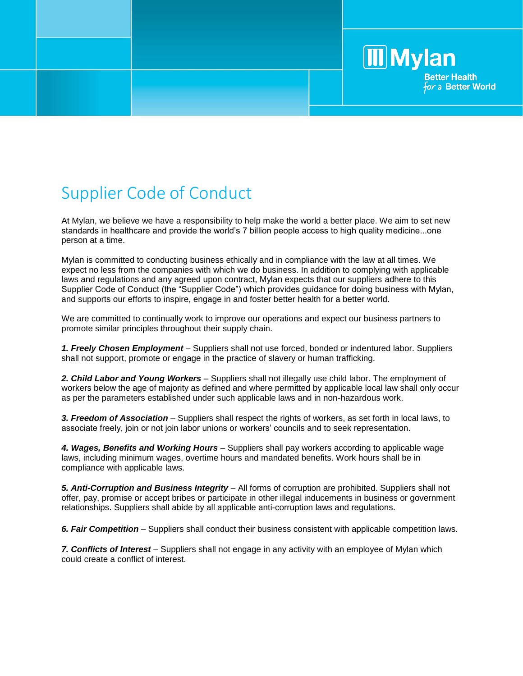## Supplier Code of Conduct

At Mylan, we believe we have a responsibility to help make the world a better place. We aim to set new standards in healthcare and provide the world's 7 billion people access to high quality medicine...one person at a time.

**Mylan** 

**Better Health** for a Better World

Mylan is committed to conducting business ethically and in compliance with the law at all times. We expect no less from the companies with which we do business. In addition to complying with applicable laws and regulations and any agreed upon contract, Mylan expects that our suppliers adhere to this Supplier Code of Conduct (the "Supplier Code") which provides guidance for doing business with Mylan, and supports our efforts to inspire, engage in and foster better health for a better world.

We are committed to continually work to improve our operations and expect our business partners to promote similar principles throughout their supply chain.

*1. Freely Chosen Employment* – Suppliers shall not use forced, bonded or indentured labor. Suppliers shall not support, promote or engage in the practice of slavery or human trafficking.

*2. Child Labor and Young Workers –* Suppliers shall not illegally use child labor. The employment of workers below the age of majority as defined and where permitted by applicable local law shall only occur as per the parameters established under such applicable laws and in non-hazardous work.

*3. Freedom of Association* – Suppliers shall respect the rights of workers, as set forth in local laws, to associate freely, join or not join labor unions or workers' councils and to seek representation.

*4. Wages, Benefits and Working Hours* – Suppliers shall pay workers according to applicable wage laws, including minimum wages, overtime hours and mandated benefits. Work hours shall be in compliance with applicable laws.

5. Anti-Corruption and Business Integrity – All forms of corruption are prohibited. Suppliers shall not offer, pay, promise or accept bribes or participate in other illegal inducements in business or government relationships. Suppliers shall abide by all applicable anti-corruption laws and regulations.

**6. Fair Competition** – Suppliers shall conduct their business consistent with applicable competition laws.

*7. Conflicts of Interest* – Suppliers shall not engage in any activity with an employee of Mylan which could create a conflict of interest.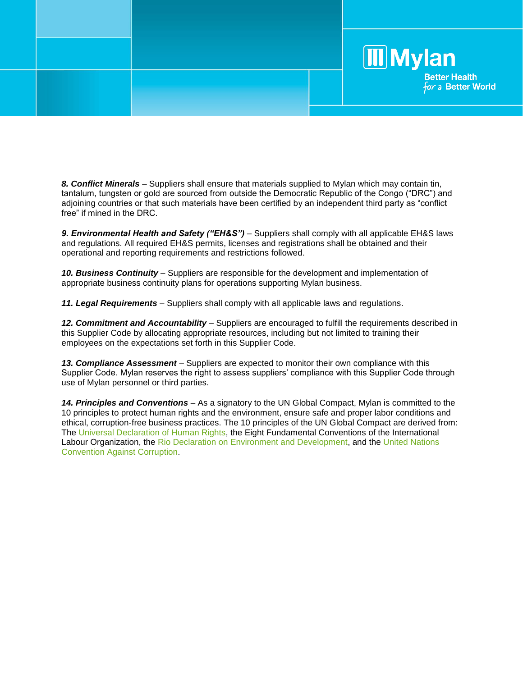

*8. Conflict Minerals* – Suppliers shall ensure that materials supplied to Mylan which may contain tin, tantalum, tungsten or gold are sourced from outside the Democratic Republic of the Congo ("DRC") and adjoining countries or that such materials have been certified by an independent third party as "conflict free" if mined in the DRC.

*9. Environmental Health and Safety ("EH&S")* – Suppliers shall comply with all applicable EH&S laws and regulations. All required EH&S permits, licenses and registrations shall be obtained and their operational and reporting requirements and restrictions followed.

*10. Business Continuity* – Suppliers are responsible for the development and implementation of appropriate business continuity plans for operations supporting Mylan business.

*11. Legal Requirements* – Suppliers shall comply with all applicable laws and regulations.

12. Commitment and Accountability – Suppliers are encouraged to fulfill the requirements described in this Supplier Code by allocating appropriate resources, including but not limited to training their employees on the expectations set forth in this Supplier Code.

13. Compliance Assessment – Suppliers are expected to monitor their own compliance with this Supplier Code. Mylan reserves the right to assess suppliers' compliance with this Supplier Code through use of Mylan personnel or third parties.

*14. Principles and Conventions* – As a signatory to the UN Global Compact, Mylan is committed to the 10 principles to protect human rights and the environment, ensure safe and proper labor conditions and ethical, corruption-free business practices. The 10 principles of the UN Global Compact are derived from: The Universal Declaration of Human Rights, the Eight Fundamental Conventions of the International Labour Organization, the Rio Declaration on Environment and Development, and the United Nations Convention Against Corruption.